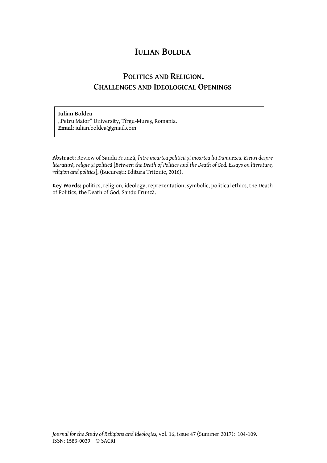## **IULIAN BOLDEA**

## **POLITICS AND RELIGION. CHALLENGES AND IDEOLOGICAL OPENINGS**

## **Iulian Boldea**

"Petru Maior" University, Tîrgu-Mureș, Romania. **Email**: iulian.boldea@gmail.com

**Abstract:** Review of Sandu Frunză, *Între moartea politicii și moartea lui Dumnezeu. Eseuri despre literatură, religie şi politică* [*Between the Death of Politics and the Death of God. Essays on literature, religion and politics*], (București: Editura Tritonic, 2016).

**Key Words:** politics, religion, ideology, reprezentation, symbolic, political ethics, the Death of Politics, the Death of God, Sandu Frunză.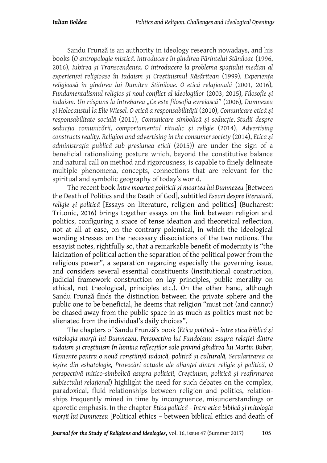Sandu Frunză is an authority in ideology research nowadays, and his books (*O antropologie mistică. Introducere în gîndirea Părintelui Stăniloae* (1996, 2016)*, Iubirea și Transcendența. O introducere la problema spațiului median al experienței religioase în Iudaism și Creștinismul Răsăritean* (1999)*, Experiența religioasă în gîndirea lui Dumitru Stăniloae. O etică relațională* (2001, 2016)*, Fundamentalismul religios și noul conflict al ideologiilor* (2003, 2015)*, Filosofie și iudaism. Un răspuns la întrebarea "Ce este filosofia evreiască"* (2006)*, Dumnezeu și Holocaustul la Elie Wiesel. O etică a responsabilității* (2010)*, Comunicare etică și responsabilitate socială* (2011), *Comunicare simbolică și seducție*. *Studii despre seducția comunicării, comportamentul ritualic și religie* (2014), *Advertising constructs reality. Religion and advertising in the consumer society* (2014), *Etica și administrația publică sub presiunea eticii* (2015)) are under the sign of a beneficial rationalizing posture which, beyond the constitutive balance and natural call on method and rigorousness, is capable to finely delineate multiple phenomena, concepts, connections that are relevant for the spiritual and symbolic geography of today's world.

The recent book *Între moartea politicii și moartea lui Dumnezeu* [Between the Death of Politics and the Death of God], subtitled *Eseuri despre literatură, religie şi politică* [Essays on literature, religion and politics] (Bucharest: Tritonic, 2016) brings together essays on the link between religion and politics, configuring a space of tense ideation and theoretical reflection, not at all at ease, on the contrary polemical, in which the ideological wording stresses on the necessary dissociations of the two notions. The essayist notes, rightfully so, that a remarkable benefit of modernity is "the laicization of political action the separation of the political power from the religious power", a separation regarding especially the governing issue, and considers several essential constituents (institutional construction, judicial framework construction on lay principles, public morality on ethical, not theological, principles etc.). On the other hand, although Sandu Frunză finds the distinction between the private sphere and the public one to be beneficial, he deems that religion "must not (and cannot) be chased away from the public space in as much as politics must not be alienated from the individual's daily choices".

The chapters of Sandu Frunză's book (*Etica politică – între etica biblică și mitologia morții lui Dumnezeu, Perspectiva lui Fundoianu asupra relaţiei dintre iudaism şi creştinism în lumina reflecţiilor sale privind gîndirea lui Martin Buber, Elemente pentru o nouă conștiință iudaică, politică și culturală, Secularizarea ca ieșire din eshatologie, Provocări actuale ale alianței dintre religie și politică, O perspectivă mitico-simbolică asupra politicii, Creștinism, politică și reafirmarea subiectului relațional*) highlight the need for such debates on the complex, paradoxical, fluid relationships between religion and politics, relationships frequently mined in time by incongruence, misunderstandings or aporetic emphasis. In the chapter *Etica politică – între etica biblică și mitologia morții lui Dumnezeu* [Political ethics – between biblical ethics and death of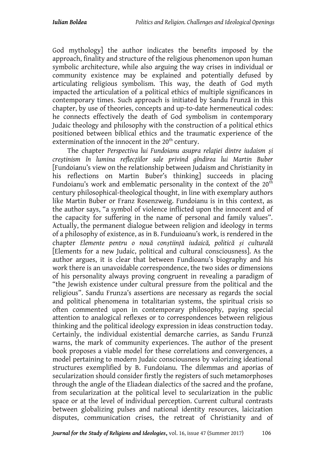God mythology] the author indicates the benefits imposed by the approach, finality and structure of the religious phenomenon upon human symbolic architecture, while also arguing the way crises in individual or community existence may be explained and potentially defused by articulating religious symbolism. This way, the death of God myth impacted the articulation of a political ethics of multiple significances in contemporary times. Such approach is initiated by Sandu Frunză in this chapter, by use of theories, concepts and up-to-date hermeneutical codes: he connects effectively the death of God symbolism in contemporary Judaic theology and philosophy with the construction of a political ethics positioned between biblical ethics and the traumatic experience of the extermination of the innocent in the 20<sup>th</sup> century.

The chapter *Perspectiva lui Fundoianu asupra relaţiei dintre iudaism şi creştinism în lumina reflecţiilor sale privind gîndirea lui Martin Buber* [Fundoianu's view on the relationship between Judaism and Christianity in his reflections on Martin Buber's thinking] succeeds in placing Fundoianu's work and emblematic personality in the context of the  $20<sup>th</sup>$ century philosophical-theological thought, in line with exemplary authors like Martin Buber or Franz Rosenzweig. Fundoianu is in this context, as the author says, "a symbol of violence inflicted upon the innocent and of the capacity for suffering in the name of personal and family values". Actually, the permanent dialogue between religion and ideology in terms of a philosophy of existence, as in B. Funduioanu's work, is rendered in the chapter *Elemente pentru o nouă conștiință iudaică, politică și culturală* [Elements for a new Judaic, political and cultural consciousness]. As the author argues, it is clear that between Fundioanu's biography and his work there is an unavoidable correspondence, the two sides or dimensions of his personality always proving congruent in revealing a paradigm of "the Jewish existence under cultural pressure from the political and the religious". Sandu Frunza's assertions are necessary as regards the social and political phenomena in totalitarian systems, the spiritual crisis so often commented upon in contemporary philosophy, paying special attention to analogical reflexes or to correspondences between religious thinking and the political ideology expression in ideas construction today. Certainly, the individual existential demarche carries, as Sandu Frunză warns, the mark of community experiences. The author of the present book proposes a viable model for these correlations and convergences, a model pertaining to modern Judaic consciousness by valorizing ideational structures exemplified by B. Fundoianu. The dilemmas and aporias of secularization should consider firstly the registers of such metamorphoses through the angle of the Eliadean dialectics of the sacred and the profane, from secularization at the political level to secularization in the public space or at the level of individual perception. Current cultural contrasts between globalizing pulses and national identity resources, laicization disputes, communication crises, the retreat of Christianity and of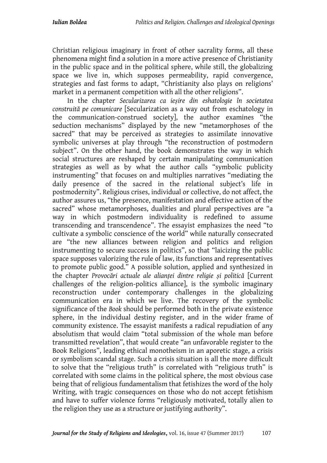Christian religious imaginary in front of other sacrality forms, all these phenomena might find a solution in a more active presence of Christianity in the public space and in the political sphere, while still, the globalizing space we live in, which supposes permeability, rapid convergence, strategies and fast forms to adapt, "Christianity also plays on religions' market in a permanent competition with all the other religions".

In the chapter *Secularizarea ca ieșire din eshatologie în societatea construită pe comunicare* [Secularization as a way out from eschatology in the communication-construed society], the author examines "the seduction mechanisms" displayed by the new "metamorphoses of the sacred" that may be perceived as strategies to assimilate innovative symbolic universes at play through "the reconstruction of postmodern subject". On the other hand, the book demonstrates the way in which social structures are reshaped by certain manipulating communication strategies as well as by what the author calls "symbolic publicity instrumenting" that focuses on and multiplies narratives "mediating the daily presence of the sacred in the relational subject's life in postmodernity". Religious crises, individual or collective, do not affect, the author assures us, "the presence, manifestation and effective action of the sacred" whose metamorphoses, dualities and plural perspectives are "a way in which postmodern individuality is redefined to assume transcending and transcendence". The essayist emphasizes the need "to cultivate a symbolic conscience of the world" while naturally consecrated are "the new alliances between religion and politics and religion instrumenting to secure success in politics", so that "laicizing the public space supposes valorizing the rule of law, its functions and representatives to promote public good." A possible solution, applied and synthesized in the chapter *Provocări actuale ale alianței dintre religie și politică* [Current challenges of the religion-politics alliance], is the symbolic imaginary reconstruction under contemporary challenges in the globalizing communication era in which we live. The recovery of the symbolic significance of the *Book* should be performed both in the private existence sphere, in the individual destiny register, and in the wider frame of community existence. The essayist manifests a radical repudiation of any absolutism that would claim "total submission of the whole man before transmitted revelation", that would create "an unfavorable register to the Book Religions", leading ethical monotheism in an aporetic stage, a crisis or symbolism scandal stage. Such a crisis situation is all the more difficult to solve that the "religious truth" is correlated with "religious truth" is correlated with some claims in the political sphere, the most obvious case being that of religious fundamentalism that fetishizes the word of the holy Writing, with tragic consequences on those who do not accept fetishism and have to suffer violence forms "religiously motivated, totally alien to the religion they use as a structure or justifying authority".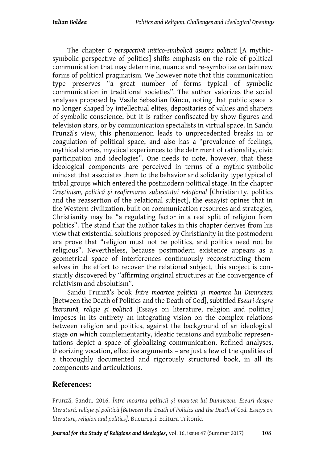The chapter *O perspectivă mitico-simbolică asupra politicii* [A mythicsymbolic perspective of politics] shifts emphasis on the role of political communication that may determine, nuance and re-symbolize certain new forms of political pragmatism. We however note that this communication type preserves "a great number of forms typical of symbolic communication in traditional societies". The author valorizes the social analyses proposed by Vasile Sebastian Dâncu, noting that public space is no longer shaped by intellectual elites, depositaries of values and shapers of symbolic conscience, but it is rather confiscated by show figures and television stars, or by communication specialists in virtual space. In Sandu Frunză's view, this phenomenon leads to unprecedented breaks in or coagulation of political space, and also has a "prevalence of feelings, mythical stories, mystical experiences to the detriment of rationality, civic participation and ideologies". One needs to note, however, that these ideological components are perceived in terms of a mythic-symbolic mindset that associates them to the behavior and solidarity type typical of tribal groups which entered the postmodern political stage. In the chapter *Creștinism, politică și reafirmarea subiectului relaţional* [Christianity, politics and the reassertion of the relational subject], the essayist opines that in the Western civilization, built on communication resources and strategies, Christianity may be "a regulating factor in a real split of religion from politics". The stand that the author takes in this chapter derives from his view that existential solutions proposed by Christianity in the postmodern era prove that "religion must not be politics, and politics need not be religious". Nevertheless, because postmodern existence appears as a geometrical space of interferences continuously reconstructing themselves in the effort to recover the relational subject, this subject is constantly discovered by "affirming original structures at the convergence of relativism and absolutism".

Sandu Frunză's book *Între moartea politicii și moartea lui Dumnezeu* [Between the Death of Politics and the Death of God], subtitled *Eseuri despre literatură, religie şi politică* [Essays on literature, religion and politics] imposes in its entirety an integrating vision on the complex relations between religion and politics, against the background of an ideological stage on which complementarity, ideatic tensions and symbolic representations depict a space of globalizing communication. Refined analyses, theorizing vocation, effective arguments – are just a few of the qualities of a thoroughly documented and rigorously structured book, in all its components and articulations.

## **References:**

Frunză, Sandu. 2016. *Între moartea politicii și moartea lui Dumnezeu*. *Eseuri despre literatură, religie şi politică [Between the Death of Politics and the Death of God. Essays on literature, religion and politics]*. București: Editura Tritonic.